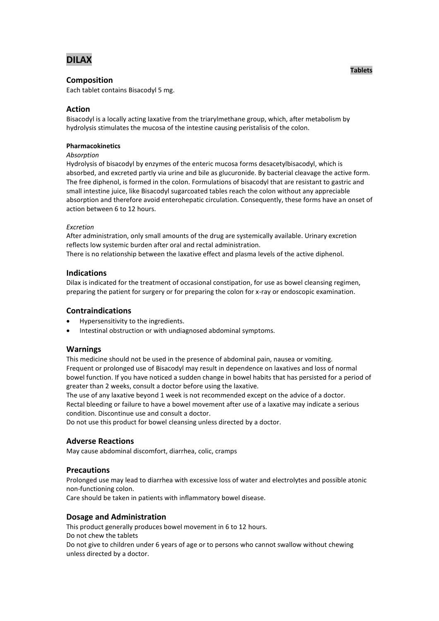

## **Composition**

Each tablet contains Bisacodyl 5 mg.

# **Action**

Bisacodyl is a locally acting laxative from the triarylmethane group, which, after metabolism by hydrolysis stimulates the mucosa of the intestine causing peristalisis of the colon.

#### **Pharmacokinetics**

*Absorption*

Hydrolysis of bisacodyl by enzymes of the enteric mucosa forms desacetylbisacodyl, which is absorbed, and excreted partly via urine and bile as glucuronide. By bacterial cleavage the active form. The free diphenol, is formed in the colon. Formulations of bisacodyl that are resistant to gastric and small intestine juice, like Bisacodyl sugarcoated tables reach the colon without any appreciable absorption and therefore avoid enterohepatic circulation. Consequently, these forms have an onset of action between 6 to 12 hours.

#### *Excretion*

After administration, only small amounts of the drug are systemically available. Urinary excretion reflects low systemic burden after oral and rectal administration.

There is no relationship between the laxative effect and plasma levels of the active diphenol.

## **Indications**

Dilax is indicated for the treatment of occasional constipation, for use as bowel cleansing regimen, preparing the patient for surgery or for preparing the colon for x-ray or endoscopic examination.

### **Contraindications**

- Hypersensitivity to the ingredients.
- Intestinal obstruction or with undiagnosed abdominal symptoms.

### **Warnings**

This medicine should not be used in the presence of abdominal pain, nausea or vomiting. Frequent or prolonged use of Bisacodyl may result in dependence on laxatives and loss of normal bowel function. If you have noticed a sudden change in bowel habits that has persisted for a period of greater than 2 weeks, consult a doctor before using the laxative.

The use of any laxative beyond 1 week is not recommended except on the advice of a doctor. Rectal bleeding or failure to have a bowel movement after use of a laxative may indicate a serious condition. Discontinue use and consult a doctor.

Do not use this product for bowel cleansing unless directed by a doctor.

### **Adverse Reactions**

May cause abdominal discomfort, diarrhea, colic, cramps

### **Precautions**

Prolonged use may lead to diarrhea with excessive loss of water and electrolytes and possible atonic non-functioning colon.

Care should be taken in patients with inflammatory bowel disease.

### **Dosage and Administration**

This product generally produces bowel movement in 6 to 12 hours. Do not chew the tablets Do not give to children under 6 years of age or to persons who cannot swallow without chewing unless directed by a doctor.